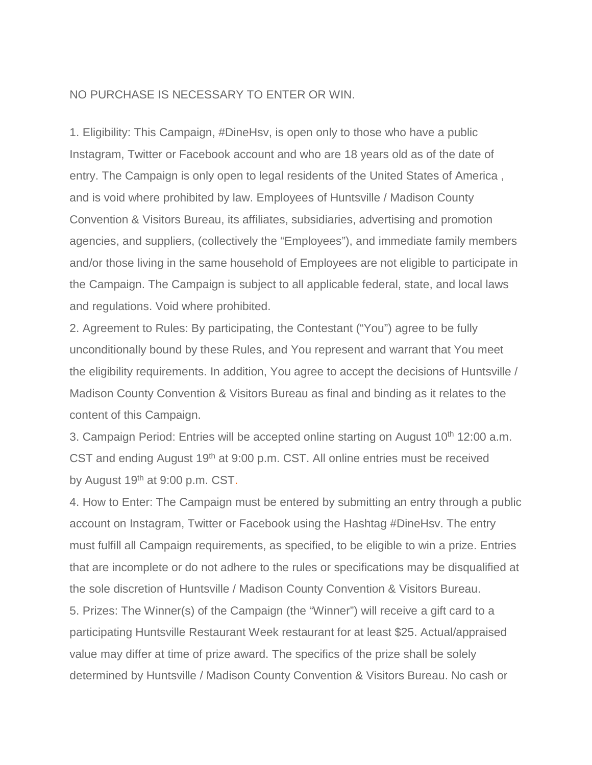## NO PURCHASE IS NECESSARY TO ENTER OR WIN.

1. Eligibility: This Campaign, #DineHsv, is open only to those who have a public Instagram, Twitter or Facebook account and who are 18 years old as of the date of entry. The Campaign is only open to legal residents of the United States of America , and is void where prohibited by law. Employees of Huntsville / Madison County Convention & Visitors Bureau, its affiliates, subsidiaries, advertising and promotion agencies, and suppliers, (collectively the "Employees"), and immediate family members and/or those living in the same household of Employees are not eligible to participate in the Campaign. The Campaign is subject to all applicable federal, state, and local laws and regulations. Void where prohibited.

2. Agreement to Rules: By participating, the Contestant ("You") agree to be fully unconditionally bound by these Rules, and You represent and warrant that You meet the eligibility requirements. In addition, You agree to accept the decisions of Huntsville / Madison County Convention & Visitors Bureau as final and binding as it relates to the content of this Campaign.

3. Campaign Period: Entries will be accepted online starting on August 10<sup>th</sup> 12:00 a.m. CST and ending August 19<sup>th</sup> at 9:00 p.m. CST. All online entries must be received by August 19<sup>th</sup> at 9:00 p.m. CST.

4. How to Enter: The Campaign must be entered by submitting an entry through a public account on Instagram, Twitter or Facebook using the Hashtag #DineHsv. The entry must fulfill all Campaign requirements, as specified, to be eligible to win a prize. Entries that are incomplete or do not adhere to the rules or specifications may be disqualified at the sole discretion of Huntsville / Madison County Convention & Visitors Bureau. 5. Prizes: The Winner(s) of the Campaign (the "Winner") will receive a gift card to a participating Huntsville Restaurant Week restaurant for at least \$25. Actual/appraised value may differ at time of prize award. The specifics of the prize shall be solely determined by Huntsville / Madison County Convention & Visitors Bureau. No cash or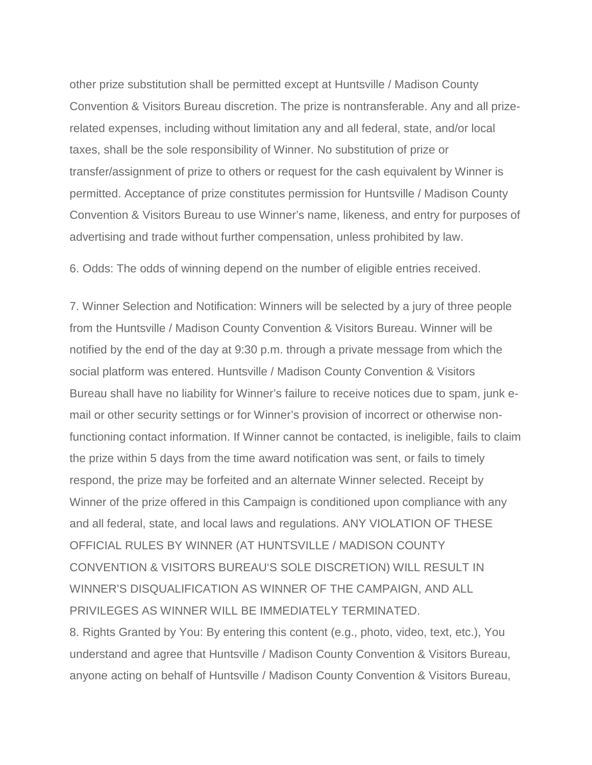other prize substitution shall be permitted except at Huntsville / Madison County Convention & Visitors Bureau discretion. The prize is nontransferable. Any and all prizerelated expenses, including without limitation any and all federal, state, and/or local taxes, shall be the sole responsibility of Winner. No substitution of prize or transfer/assignment of prize to others or request for the cash equivalent by Winner is permitted. Acceptance of prize constitutes permission for Huntsville / Madison County Convention & Visitors Bureau to use Winner's name, likeness, and entry for purposes of advertising and trade without further compensation, unless prohibited by law.

6. Odds: The odds of winning depend on the number of eligible entries received.

7. Winner Selection and Notification: Winners will be selected by a jury of three people from the Huntsville / Madison County Convention & Visitors Bureau. Winner will be notified by the end of the day at 9:30 p.m. through a private message from which the social platform was entered. Huntsville / Madison County Convention & Visitors Bureau shall have no liability for Winner's failure to receive notices due to spam, junk email or other security settings or for Winner's provision of incorrect or otherwise nonfunctioning contact information. If Winner cannot be contacted, is ineligible, fails to claim the prize within 5 days from the time award notification was sent, or fails to timely respond, the prize may be forfeited and an alternate Winner selected. Receipt by Winner of the prize offered in this Campaign is conditioned upon compliance with any and all federal, state, and local laws and regulations. ANY VIOLATION OF THESE OFFICIAL RULES BY WINNER (AT HUNTSVILLE / MADISON COUNTY CONVENTION & VISITORS BUREAU'S SOLE DISCRETION) WILL RESULT IN WINNER'S DISQUALIFICATION AS WINNER OF THE CAMPAIGN, AND ALL PRIVILEGES AS WINNER WILL BE IMMEDIATELY TERMINATED.

8. Rights Granted by You: By entering this content (e.g., photo, video, text, etc.), You understand and agree that Huntsville / Madison County Convention & Visitors Bureau, anyone acting on behalf of Huntsville / Madison County Convention & Visitors Bureau,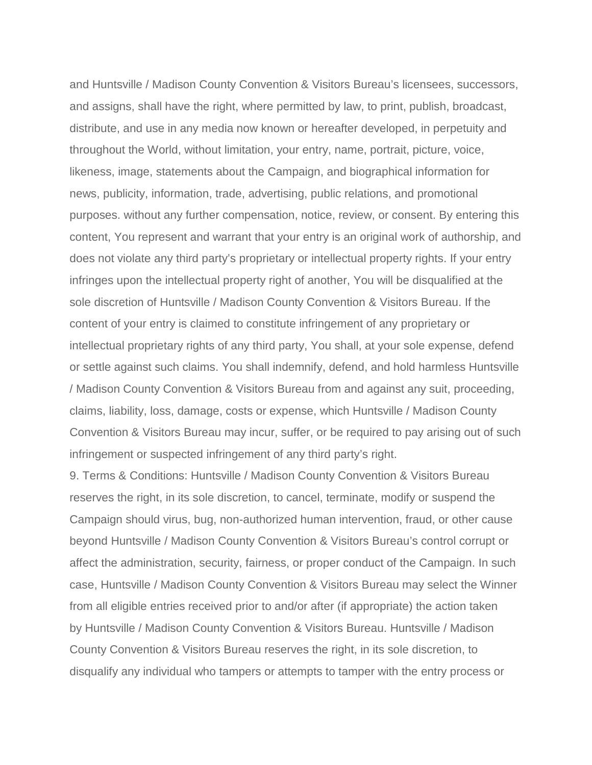and Huntsville / Madison County Convention & Visitors Bureau's licensees, successors, and assigns, shall have the right, where permitted by law, to print, publish, broadcast, distribute, and use in any media now known or hereafter developed, in perpetuity and throughout the World, without limitation, your entry, name, portrait, picture, voice, likeness, image, statements about the Campaign, and biographical information for news, publicity, information, trade, advertising, public relations, and promotional purposes. without any further compensation, notice, review, or consent. By entering this content, You represent and warrant that your entry is an original work of authorship, and does not violate any third party's proprietary or intellectual property rights. If your entry infringes upon the intellectual property right of another, You will be disqualified at the sole discretion of Huntsville / Madison County Convention & Visitors Bureau. If the content of your entry is claimed to constitute infringement of any proprietary or intellectual proprietary rights of any third party, You shall, at your sole expense, defend or settle against such claims. You shall indemnify, defend, and hold harmless Huntsville / Madison County Convention & Visitors Bureau from and against any suit, proceeding, claims, liability, loss, damage, costs or expense, which Huntsville / Madison County Convention & Visitors Bureau may incur, suffer, or be required to pay arising out of such infringement or suspected infringement of any third party's right.

9. Terms & Conditions: Huntsville / Madison County Convention & Visitors Bureau reserves the right, in its sole discretion, to cancel, terminate, modify or suspend the Campaign should virus, bug, non-authorized human intervention, fraud, or other cause beyond Huntsville / Madison County Convention & Visitors Bureau's control corrupt or affect the administration, security, fairness, or proper conduct of the Campaign. In such case, Huntsville / Madison County Convention & Visitors Bureau may select the Winner from all eligible entries received prior to and/or after (if appropriate) the action taken by Huntsville / Madison County Convention & Visitors Bureau. Huntsville / Madison County Convention & Visitors Bureau reserves the right, in its sole discretion, to disqualify any individual who tampers or attempts to tamper with the entry process or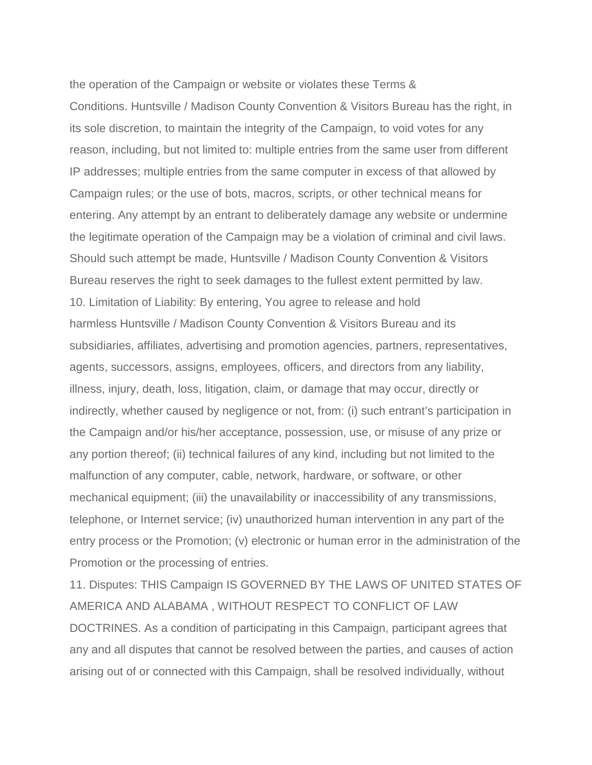the operation of the Campaign or website or violates these Terms & Conditions. Huntsville / Madison County Convention & Visitors Bureau has the right, in its sole discretion, to maintain the integrity of the Campaign, to void votes for any reason, including, but not limited to: multiple entries from the same user from different IP addresses; multiple entries from the same computer in excess of that allowed by Campaign rules; or the use of bots, macros, scripts, or other technical means for entering. Any attempt by an entrant to deliberately damage any website or undermine the legitimate operation of the Campaign may be a violation of criminal and civil laws. Should such attempt be made, Huntsville / Madison County Convention & Visitors Bureau reserves the right to seek damages to the fullest extent permitted by law. 10. Limitation of Liability: By entering, You agree to release and hold harmless Huntsville / Madison County Convention & Visitors Bureau and its subsidiaries, affiliates, advertising and promotion agencies, partners, representatives, agents, successors, assigns, employees, officers, and directors from any liability, illness, injury, death, loss, litigation, claim, or damage that may occur, directly or indirectly, whether caused by negligence or not, from: (i) such entrant's participation in the Campaign and/or his/her acceptance, possession, use, or misuse of any prize or any portion thereof; (ii) technical failures of any kind, including but not limited to the malfunction of any computer, cable, network, hardware, or software, or other mechanical equipment; (iii) the unavailability or inaccessibility of any transmissions, telephone, or Internet service; (iv) unauthorized human intervention in any part of the entry process or the Promotion; (v) electronic or human error in the administration of the Promotion or the processing of entries.

11. Disputes: THIS Campaign IS GOVERNED BY THE LAWS OF UNITED STATES OF AMERICA AND ALABAMA , WITHOUT RESPECT TO CONFLICT OF LAW DOCTRINES. As a condition of participating in this Campaign, participant agrees that any and all disputes that cannot be resolved between the parties, and causes of action arising out of or connected with this Campaign, shall be resolved individually, without